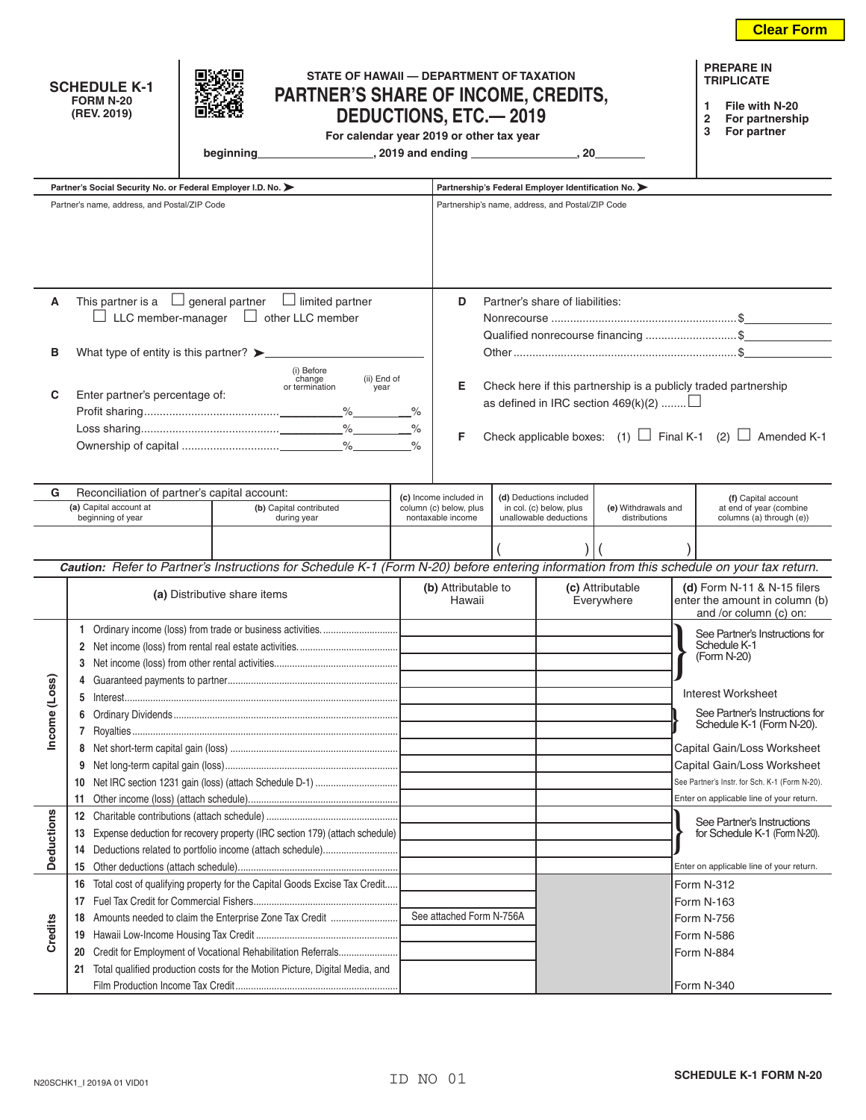|                              | STATE OF HAWAII - DEPARTMENT OF TAXATION<br><b>SCHEDULE K-1</b><br>PARTNER'S SHARE OF INCOME, CREDITS,<br><b>FORM N-20</b><br>(REV. 2019)<br><b>DEDUCTIONS, ETC.-2019</b><br>For calendar year 2019 or other tax year<br>beginning |                                                                             |                                      |                                                                                                                                          |                                                                       |                                                                                                       |                                                                                                                                                                                           |  |                                |                                                | <b>PREPARE IN</b><br><b>TRIPLICATE</b><br>File with N-20<br>1<br>For partnership<br>2<br>For partner<br>3 |  |
|------------------------------|------------------------------------------------------------------------------------------------------------------------------------------------------------------------------------------------------------------------------------|-----------------------------------------------------------------------------|--------------------------------------|------------------------------------------------------------------------------------------------------------------------------------------|-----------------------------------------------------------------------|-------------------------------------------------------------------------------------------------------|-------------------------------------------------------------------------------------------------------------------------------------------------------------------------------------------|--|--------------------------------|------------------------------------------------|-----------------------------------------------------------------------------------------------------------|--|
|                              | Partner's Social Security No. or Federal Employer I.D. No. >                                                                                                                                                                       |                                                                             |                                      |                                                                                                                                          |                                                                       |                                                                                                       |                                                                                                                                                                                           |  |                                |                                                |                                                                                                           |  |
|                              | Partner's name, address, and Postal/ZIP Code                                                                                                                                                                                       |                                                                             |                                      |                                                                                                                                          |                                                                       | Partnership's Federal Employer Identification No.<br>Partnership's name, address, and Postal/ZIP Code |                                                                                                                                                                                           |  |                                |                                                |                                                                                                           |  |
|                              |                                                                                                                                                                                                                                    |                                                                             |                                      |                                                                                                                                          |                                                                       |                                                                                                       |                                                                                                                                                                                           |  |                                |                                                |                                                                                                           |  |
| Α                            | This partner is a $\Box$ general partner $\Box$ limited partner                                                                                                                                                                    |                                                                             | Partner's share of liabilities:<br>D |                                                                                                                                          |                                                                       |                                                                                                       |                                                                                                                                                                                           |  |                                |                                                |                                                                                                           |  |
|                              |                                                                                                                                                                                                                                    |                                                                             |                                      | $\Box$ LLC member-manager $\Box$ other LLC member                                                                                        |                                                                       |                                                                                                       |                                                                                                                                                                                           |  |                                |                                                |                                                                                                           |  |
|                              | What type of entity is this partner? >                                                                                                                                                                                             |                                                                             |                                      |                                                                                                                                          |                                                                       |                                                                                                       | Qualified nonrecourse financing \$                                                                                                                                                        |  |                                |                                                |                                                                                                           |  |
| в                            |                                                                                                                                                                                                                                    |                                                                             |                                      |                                                                                                                                          |                                                                       |                                                                                                       |                                                                                                                                                                                           |  |                                |                                                |                                                                                                           |  |
| C                            | (i) Before<br>(ii) End of<br>change<br>or termination<br>year<br>Enter partner's percentage of:                                                                                                                                    |                                                                             |                                      |                                                                                                                                          |                                                                       |                                                                                                       | Е<br>Check here if this partnership is a publicly traded partnership<br>as defined in IRC section $469(k)(2)$<br>Check applicable boxes: (1) $\Box$ Final K-1 (2) $\Box$ Amended K-1<br>F |  |                                |                                                |                                                                                                           |  |
| G                            | Reconciliation of partner's capital account:                                                                                                                                                                                       |                                                                             |                                      |                                                                                                                                          |                                                                       |                                                                                                       |                                                                                                                                                                                           |  |                                |                                                |                                                                                                           |  |
|                              | (a) Capital account at<br>(b) Capital contributed                                                                                                                                                                                  |                                                                             |                                      |                                                                                                                                          | (c) Income included in<br>column (c) below, plus<br>nontaxable income |                                                                                                       | (d) Deductions included<br>in col. (c) below, plus<br>(e) Withdrawals and<br>unallowable deductions<br>distributions                                                                      |  |                                | (f) Capital account<br>at end of year (combine |                                                                                                           |  |
|                              | beginning of year                                                                                                                                                                                                                  |                                                                             |                                      | during year                                                                                                                              |                                                                       |                                                                                                       |                                                                                                                                                                                           |  |                                |                                                | columns (a) through (e))                                                                                  |  |
|                              |                                                                                                                                                                                                                                    |                                                                             |                                      |                                                                                                                                          |                                                                       |                                                                                                       |                                                                                                                                                                                           |  |                                |                                                |                                                                                                           |  |
|                              |                                                                                                                                                                                                                                    |                                                                             |                                      | Caution: Refer to Partner's Instructions for Schedule K-1 (Form N-20) before entering information from this schedule on your tax return. |                                                                       |                                                                                                       |                                                                                                                                                                                           |  |                                |                                                |                                                                                                           |  |
|                              |                                                                                                                                                                                                                                    | (a) Distributive share items                                                |                                      |                                                                                                                                          |                                                                       | (b) Attributable to<br>Hawaii                                                                         |                                                                                                                                                                                           |  | (c) Attributable<br>Everywhere |                                                | (d) Form $N-11$ & $N-15$ filers<br>enter the amount in column (b)<br>and /or column (c) on:               |  |
|                              |                                                                                                                                                                                                                                    |                                                                             |                                      |                                                                                                                                          |                                                                       |                                                                                                       |                                                                                                                                                                                           |  |                                |                                                | See Partner's Instructions for                                                                            |  |
|                              |                                                                                                                                                                                                                                    |                                                                             | Schedule K-1                         |                                                                                                                                          |                                                                       |                                                                                                       |                                                                                                                                                                                           |  |                                |                                                |                                                                                                           |  |
|                              |                                                                                                                                                                                                                                    |                                                                             |                                      |                                                                                                                                          |                                                                       |                                                                                                       |                                                                                                                                                                                           |  |                                |                                                | (Form N-20)                                                                                               |  |
| Income (Los                  | Guaranteed payments to partner                                                                                                                                                                                                     |                                                                             |                                      |                                                                                                                                          |                                                                       |                                                                                                       |                                                                                                                                                                                           |  |                                |                                                |                                                                                                           |  |
|                              | 5                                                                                                                                                                                                                                  |                                                                             |                                      |                                                                                                                                          |                                                                       |                                                                                                       |                                                                                                                                                                                           |  |                                |                                                | Interest Worksheet                                                                                        |  |
|                              | 6                                                                                                                                                                                                                                  |                                                                             |                                      |                                                                                                                                          |                                                                       |                                                                                                       |                                                                                                                                                                                           |  |                                |                                                | See Partner's Instructions for<br>Schedule K-1 (Form N-20).                                               |  |
|                              |                                                                                                                                                                                                                                    |                                                                             |                                      |                                                                                                                                          |                                                                       |                                                                                                       |                                                                                                                                                                                           |  |                                |                                                |                                                                                                           |  |
|                              | 8                                                                                                                                                                                                                                  |                                                                             |                                      |                                                                                                                                          |                                                                       |                                                                                                       |                                                                                                                                                                                           |  |                                |                                                | Capital Gain/Loss Worksheet                                                                               |  |
|                              |                                                                                                                                                                                                                                    | 9                                                                           |                                      |                                                                                                                                          |                                                                       |                                                                                                       |                                                                                                                                                                                           |  |                                |                                                | Capital Gain/Loss Worksheet<br>See Partner's Instr. for Sch. K-1 (Form N-20).                             |  |
|                              | 10<br>11                                                                                                                                                                                                                           |                                                                             |                                      |                                                                                                                                          |                                                                       |                                                                                                       |                                                                                                                                                                                           |  |                                |                                                | Enter on applicable line of your return.                                                                  |  |
| <b>Deductions</b><br>Credits | 12                                                                                                                                                                                                                                 |                                                                             |                                      |                                                                                                                                          |                                                                       |                                                                                                       |                                                                                                                                                                                           |  |                                |                                                |                                                                                                           |  |
|                              | Expense deduction for recovery property (IRC section 179) (attach schedule)<br>13                                                                                                                                                  |                                                                             |                                      |                                                                                                                                          |                                                                       |                                                                                                       |                                                                                                                                                                                           |  |                                |                                                | See Partner's Instructions<br>for Schedule K-1 (Form N-20).                                               |  |
|                              | Deductions related to portfolio income (attach schedule)<br>14                                                                                                                                                                     |                                                                             |                                      |                                                                                                                                          |                                                                       |                                                                                                       |                                                                                                                                                                                           |  |                                |                                                |                                                                                                           |  |
|                              | 15                                                                                                                                                                                                                                 |                                                                             |                                      |                                                                                                                                          |                                                                       |                                                                                                       |                                                                                                                                                                                           |  |                                |                                                | Enter on applicable line of your return.                                                                  |  |
|                              | Total cost of qualifying property for the Capital Goods Excise Tax Credit<br>16                                                                                                                                                    |                                                                             |                                      |                                                                                                                                          |                                                                       |                                                                                                       | Form N-312                                                                                                                                                                                |  |                                |                                                |                                                                                                           |  |
|                              | 17                                                                                                                                                                                                                                 |                                                                             |                                      |                                                                                                                                          |                                                                       |                                                                                                       |                                                                                                                                                                                           |  |                                | Form N-163                                     |                                                                                                           |  |
|                              | 18                                                                                                                                                                                                                                 |                                                                             |                                      | Amounts needed to claim the Enterprise Zone Tax Credit                                                                                   |                                                                       | See attached Form N-756A                                                                              |                                                                                                                                                                                           |  |                                | Form N-756                                     |                                                                                                           |  |
|                              | 19                                                                                                                                                                                                                                 |                                                                             |                                      |                                                                                                                                          |                                                                       |                                                                                                       |                                                                                                                                                                                           |  |                                | Form N-586                                     |                                                                                                           |  |
|                              | Credit for Employment of Vocational Rehabilitation Referrals<br>20                                                                                                                                                                 |                                                                             |                                      |                                                                                                                                          |                                                                       |                                                                                                       |                                                                                                                                                                                           |  |                                | Form N-884                                     |                                                                                                           |  |
|                              | 21                                                                                                                                                                                                                                 | Total qualified production costs for the Motion Picture, Digital Media, and |                                      |                                                                                                                                          |                                                                       |                                                                                                       |                                                                                                                                                                                           |  |                                |                                                |                                                                                                           |  |
|                              |                                                                                                                                                                                                                                    |                                                                             |                                      |                                                                                                                                          |                                                                       |                                                                                                       |                                                                                                                                                                                           |  |                                | Form N-340                                     |                                                                                                           |  |

**Clear Form**